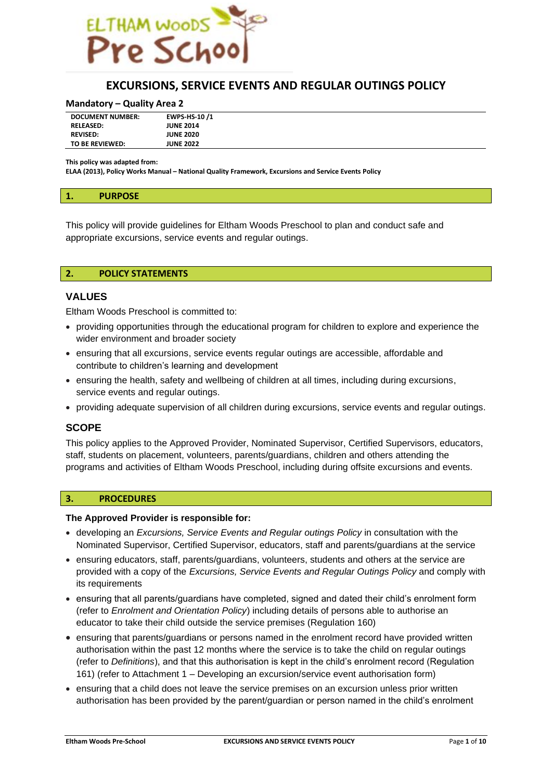

# **EXCURSIONS, SERVICE EVENTS AND REGULAR OUTINGS POLICY**

#### **Mandatory – Quality Area 2**

| <b>DOCUMENT NUMBER:</b> | EWPS-HS-10/1     |  |
|-------------------------|------------------|--|
| <b>RELEASED:</b>        | <b>JUNE 2014</b> |  |
| <b>REVISED:</b>         | <b>JUNE 2020</b> |  |
| TO BE REVIEWED:         | <b>JUNE 2022</b> |  |

**This policy was adapted from:**

**ELAA (2013), Policy Works Manual – National Quality Framework, Excursions and Service Events Policy**

This policy will provide guidelines for Eltham Woods Preschool to plan and conduct safe and appropriate excursions, service events and regular outings.

#### **2. POLICY STATEMENTS**

#### **VALUES**

Eltham Woods Preschool is committed to:

- providing opportunities through the educational program for children to explore and experience the wider environment and broader society
- ensuring that all excursions, service events regular outings are accessible, affordable and contribute to children's learning and development
- ensuring the health, safety and wellbeing of children at all times, including during excursions, service events and regular outings.
- providing adequate supervision of all children during excursions, service events and regular outings.

## **SCOPE**

This policy applies to the Approved Provider, Nominated Supervisor, Certified Supervisors, educators, staff, students on placement, volunteers, parents/guardians, children and others attending the programs and activities of Eltham Woods Preschool, including during offsite excursions and events.

#### **3. PROCEDURES**

#### **The Approved Provider is responsible for:**

- developing an *Excursions, Service Events and Regular outings Policy* in consultation with the Nominated Supervisor, Certified Supervisor, educators, staff and parents/guardians at the service
- ensuring educators, staff, parents/guardians, volunteers, students and others at the service are provided with a copy of the *Excursions, Service Events and Regular Outings Policy* and comply with its requirements
- ensuring that all parents/guardians have completed, signed and dated their child's enrolment form (refer to *Enrolment and Orientation Policy*) including details of persons able to authorise an educator to take their child outside the service premises (Regulation 160)
- ensuring that parents/guardians or persons named in the enrolment record have provided written authorisation within the past 12 months where the service is to take the child on regular outings (refer to *Definitions*), and that this authorisation is kept in the child's enrolment record (Regulation 161) (refer to Attachment 1 – Developing an excursion/service event authorisation form)
- ensuring that a child does not leave the service premises on an excursion unless prior written authorisation has been provided by the parent/guardian or person named in the child's enrolment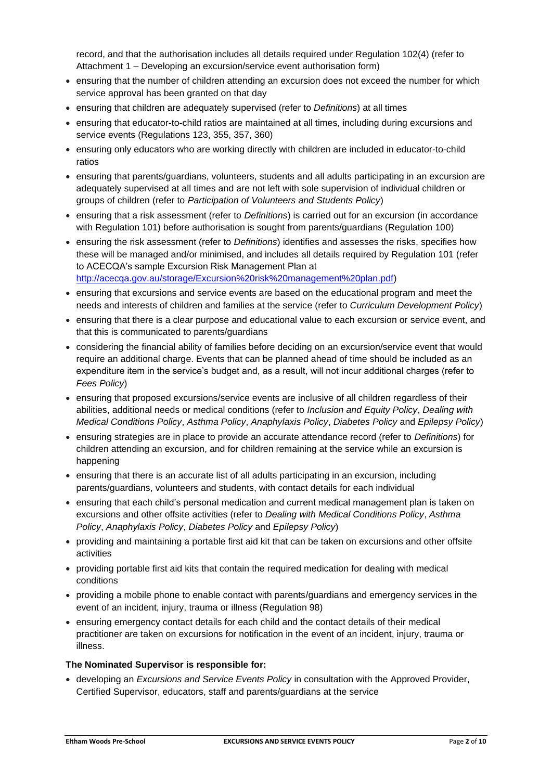record, and that the authorisation includes all details required under Regulation 102(4) (refer to Attachment 1 – Developing an excursion/service event authorisation form)

- ensuring that the number of children attending an excursion does not exceed the number for which service approval has been granted on that day
- ensuring that children are adequately supervised (refer to *Definitions*) at all times
- ensuring that educator-to-child ratios are maintained at all times, including during excursions and service events (Regulations 123, 355, 357, 360)
- ensuring only educators who are working directly with children are included in educator-to-child ratios
- ensuring that parents/guardians, volunteers, students and all adults participating in an excursion are adequately supervised at all times and are not left with sole supervision of individual children or groups of children (refer to *Participation of Volunteers and Students Policy*)
- ensuring that a risk assessment (refer to *Definitions*) is carried out for an excursion (in accordance with Regulation 101) before authorisation is sought from parents/guardians (Regulation 100)
- ensuring the risk assessment (refer to *Definitions*) identifies and assesses the risks, specifies how these will be managed and/or minimised, and includes all details required by Regulation 101 (refer to ACECQA's sample Excursion Risk Management Plan at [http://acecqa.gov.au/storage/Excursion%20risk%20management%20plan.pdf\)](http://acecqa.gov.au/storage/Excursion%20risk%20management%20plan.pdf)
- ensuring that excursions and service events are based on the educational program and meet the needs and interests of children and families at the service (refer to *Curriculum Development Policy*)
- ensuring that there is a clear purpose and educational value to each excursion or service event, and that this is communicated to parents/guardians
- considering the financial ability of families before deciding on an excursion/service event that would require an additional charge. Events that can be planned ahead of time should be included as an expenditure item in the service's budget and, as a result, will not incur additional charges (refer to *Fees Policy*)
- ensuring that proposed excursions/service events are inclusive of all children regardless of their abilities, additional needs or medical conditions (refer to *Inclusion and Equity Policy*, *Dealing with Medical Conditions Policy*, *Asthma Policy*, *Anaphylaxis Policy*, *Diabetes Policy* and *Epilepsy Policy*)
- ensuring strategies are in place to provide an accurate attendance record (refer to *Definitions*) for children attending an excursion, and for children remaining at the service while an excursion is happening
- ensuring that there is an accurate list of all adults participating in an excursion, including parents/guardians, volunteers and students, with contact details for each individual
- ensuring that each child's personal medication and current medical management plan is taken on excursions and other offsite activities (refer to *Dealing with Medical Conditions Policy*, *Asthma Policy*, *Anaphylaxis Policy*, *Diabetes Policy* and *Epilepsy Policy*)
- providing and maintaining a portable first aid kit that can be taken on excursions and other offsite activities
- providing portable first aid kits that contain the required medication for dealing with medical conditions
- providing a mobile phone to enable contact with parents/guardians and emergency services in the event of an incident, injury, trauma or illness (Regulation 98)
- ensuring emergency contact details for each child and the contact details of their medical practitioner are taken on excursions for notification in the event of an incident, injury, trauma or illness.

## **The Nominated Supervisor is responsible for:**

• developing an *Excursions and Service Events Policy* in consultation with the Approved Provider, Certified Supervisor, educators, staff and parents/guardians at the service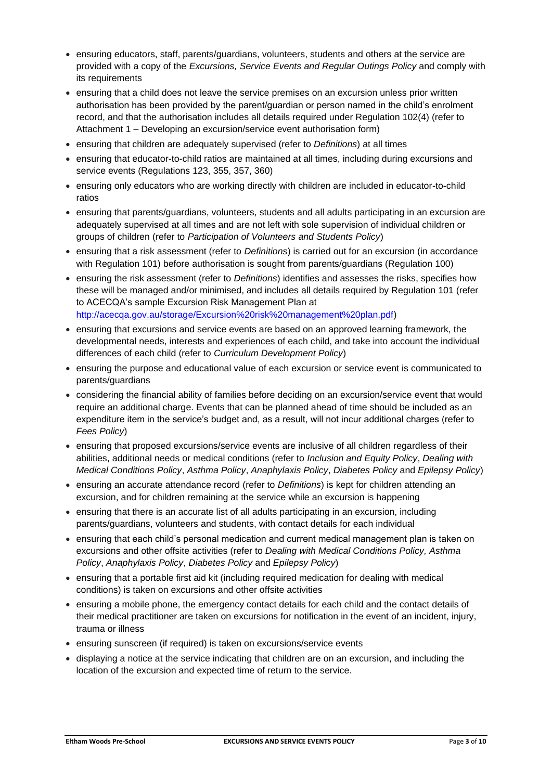- ensuring educators, staff, parents/guardians, volunteers, students and others at the service are provided with a copy of the *Excursions, Service Events and Regular Outings Policy* and comply with its requirements
- ensuring that a child does not leave the service premises on an excursion unless prior written authorisation has been provided by the parent/guardian or person named in the child's enrolment record, and that the authorisation includes all details required under Regulation 102(4) (refer to Attachment 1 – Developing an excursion/service event authorisation form)
- ensuring that children are adequately supervised (refer to *Definitions*) at all times
- ensuring that educator-to-child ratios are maintained at all times, including during excursions and service events (Regulations 123, 355, 357, 360)
- ensuring only educators who are working directly with children are included in educator-to-child ratios
- ensuring that parents/guardians, volunteers, students and all adults participating in an excursion are adequately supervised at all times and are not left with sole supervision of individual children or groups of children (refer to *Participation of Volunteers and Students Policy*)
- ensuring that a risk assessment (refer to *Definitions*) is carried out for an excursion (in accordance with Regulation 101) before authorisation is sought from parents/guardians (Regulation 100)
- ensuring the risk assessment (refer to *Definitions*) identifies and assesses the risks, specifies how these will be managed and/or minimised, and includes all details required by Regulation 101 (refer to ACECQA's sample Excursion Risk Management Plan at [http://acecqa.gov.au/storage/Excursion%20risk%20management%20plan.pdf\)](http://acecqa.gov.au/storage/Excursion%20risk%20management%20plan.pdf)
- ensuring that excursions and service events are based on an approved learning framework, the developmental needs, interests and experiences of each child, and take into account the individual differences of each child (refer to *Curriculum Development Policy*)
- ensuring the purpose and educational value of each excursion or service event is communicated to parents/guardians
- considering the financial ability of families before deciding on an excursion/service event that would require an additional charge. Events that can be planned ahead of time should be included as an expenditure item in the service's budget and, as a result, will not incur additional charges (refer to *Fees Policy*)
- ensuring that proposed excursions/service events are inclusive of all children regardless of their abilities, additional needs or medical conditions (refer to *Inclusion and Equity Policy*, *Dealing with Medical Conditions Policy*, *Asthma Policy*, *Anaphylaxis Policy*, *Diabetes Policy* and *Epilepsy Policy*)
- ensuring an accurate attendance record (refer to *Definitions*) is kept for children attending an excursion, and for children remaining at the service while an excursion is happening
- ensuring that there is an accurate list of all adults participating in an excursion, including parents/guardians, volunteers and students, with contact details for each individual
- ensuring that each child's personal medication and current medical management plan is taken on excursions and other offsite activities (refer to *Dealing with Medical Conditions Policy, Asthma Policy*, *Anaphylaxis Policy*, *Diabetes Policy* and *Epilepsy Policy*)
- ensuring that a portable first aid kit (including required medication for dealing with medical conditions) is taken on excursions and other offsite activities
- ensuring a mobile phone, the emergency contact details for each child and the contact details of their medical practitioner are taken on excursions for notification in the event of an incident, injury, trauma or illness
- ensuring sunscreen (if required) is taken on excursions/service events
- displaying a notice at the service indicating that children are on an excursion, and including the location of the excursion and expected time of return to the service.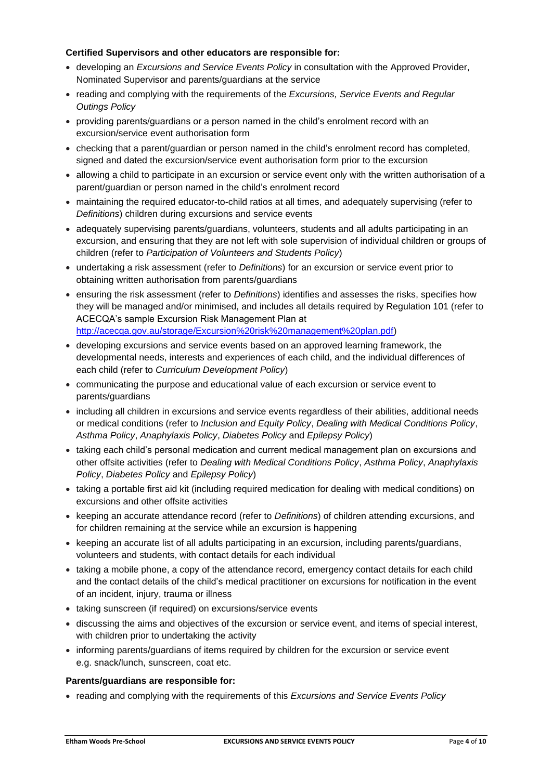## **Certified Supervisors and other educators are responsible for:**

- developing an *Excursions and Service Events Policy* in consultation with the Approved Provider, Nominated Supervisor and parents/guardians at the service
- reading and complying with the requirements of the *Excursions, Service Events and Regular Outings Policy*
- providing parents/guardians or a person named in the child's enrolment record with an excursion/service event authorisation form
- checking that a parent/guardian or person named in the child's enrolment record has completed, signed and dated the excursion/service event authorisation form prior to the excursion
- allowing a child to participate in an excursion or service event only with the written authorisation of a parent/guardian or person named in the child's enrolment record
- maintaining the required educator-to-child ratios at all times, and adequately supervising (refer to *Definitions*) children during excursions and service events
- adequately supervising parents/guardians, volunteers, students and all adults participating in an excursion, and ensuring that they are not left with sole supervision of individual children or groups of children (refer to *Participation of Volunteers and Students Policy*)
- undertaking a risk assessment (refer to *Definitions*) for an excursion or service event prior to obtaining written authorisation from parents/guardians
- ensuring the risk assessment (refer to *Definitions*) identifies and assesses the risks, specifies how they will be managed and/or minimised, and includes all details required by Regulation 101 (refer to ACECQA's sample Excursion Risk Management Plan at [http://acecqa.gov.au/storage/Excursion%20risk%20management%20plan.pdf\)](http://acecqa.gov.au/storage/Excursion%20risk%20management%20plan.pdf)
- developing excursions and service events based on an approved learning framework, the developmental needs, interests and experiences of each child, and the individual differences of each child (refer to *Curriculum Development Policy*)
- communicating the purpose and educational value of each excursion or service event to parents/guardians
- including all children in excursions and service events regardless of their abilities, additional needs or medical conditions (refer to *Inclusion and Equity Policy*, *Dealing with Medical Conditions Policy*, *Asthma Policy*, *Anaphylaxis Policy*, *Diabetes Policy* and *Epilepsy Policy*)
- taking each child's personal medication and current medical management plan on excursions and other offsite activities (refer to *Dealing with Medical Conditions Policy*, *Asthma Policy*, *Anaphylaxis Policy*, *Diabetes Policy* and *Epilepsy Policy*)
- taking a portable first aid kit (including required medication for dealing with medical conditions) on excursions and other offsite activities
- keeping an accurate attendance record (refer to *Definitions*) of children attending excursions, and for children remaining at the service while an excursion is happening
- keeping an accurate list of all adults participating in an excursion, including parents/guardians, volunteers and students, with contact details for each individual
- taking a mobile phone, a copy of the attendance record, emergency contact details for each child and the contact details of the child's medical practitioner on excursions for notification in the event of an incident, injury, trauma or illness
- taking sunscreen (if required) on excursions/service events
- discussing the aims and objectives of the excursion or service event, and items of special interest, with children prior to undertaking the activity
- informing parents/guardians of items required by children for the excursion or service event e.g. snack/lunch, sunscreen, coat etc.

## **Parents/guardians are responsible for:**

• reading and complying with the requirements of this *Excursions and Service Events Policy*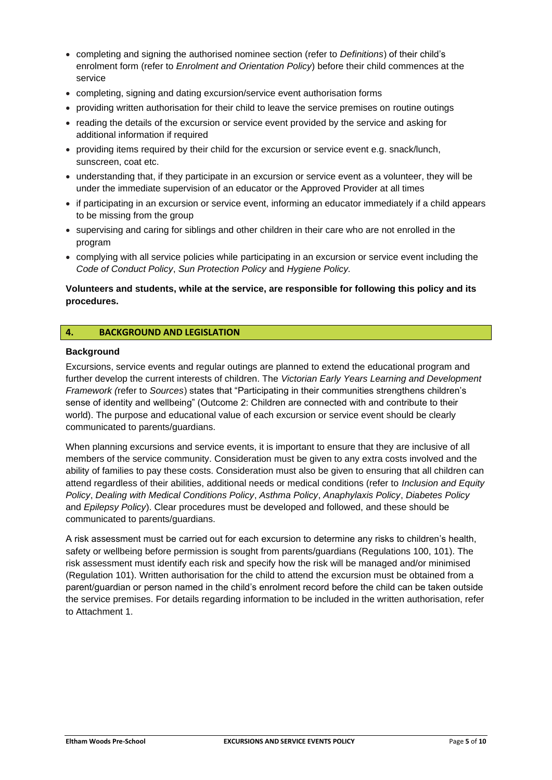- completing and signing the authorised nominee section (refer to *Definitions*) of their child's enrolment form (refer to *Enrolment and Orientation Policy*) before their child commences at the service
- completing, signing and dating excursion/service event authorisation forms
- providing written authorisation for their child to leave the service premises on routine outings
- reading the details of the excursion or service event provided by the service and asking for additional information if required
- providing items required by their child for the excursion or service event e.g. snack/lunch, sunscreen, coat etc.
- understanding that, if they participate in an excursion or service event as a volunteer, they will be under the immediate supervision of an educator or the Approved Provider at all times
- if participating in an excursion or service event, informing an educator immediately if a child appears to be missing from the group
- supervising and caring for siblings and other children in their care who are not enrolled in the program
- complying with all service policies while participating in an excursion or service event including the *Code of Conduct Policy*, *Sun Protection Policy* and *Hygiene Policy.*

## **Volunteers and students, while at the service, are responsible for following this policy and its procedures.**

## **4. BACKGROUND AND LEGISLATION**

## **Background**

Excursions, service events and regular outings are planned to extend the educational program and further develop the current interests of children. The *Victorian Early Years Learning and Development Framework (*refer to *Sources*) states that "Participating in their communities strengthens children's sense of identity and wellbeing" (Outcome 2: Children are connected with and contribute to their world). The purpose and educational value of each excursion or service event should be clearly communicated to parents/guardians.

When planning excursions and service events, it is important to ensure that they are inclusive of all members of the service community. Consideration must be given to any extra costs involved and the ability of families to pay these costs. Consideration must also be given to ensuring that all children can attend regardless of their abilities, additional needs or medical conditions (refer to *Inclusion and Equity Policy*, *Dealing with Medical Conditions Policy*, *Asthma Policy*, *Anaphylaxis Policy*, *Diabetes Policy*  and *Epilepsy Policy*). Clear procedures must be developed and followed, and these should be communicated to parents/guardians.

A risk assessment must be carried out for each excursion to determine any risks to children's health, safety or wellbeing before permission is sought from parents/guardians (Regulations 100, 101). The risk assessment must identify each risk and specify how the risk will be managed and/or minimised (Regulation 101). Written authorisation for the child to attend the excursion must be obtained from a parent/guardian or person named in the child's enrolment record before the child can be taken outside the service premises. For details regarding information to be included in the written authorisation, refer to Attachment 1.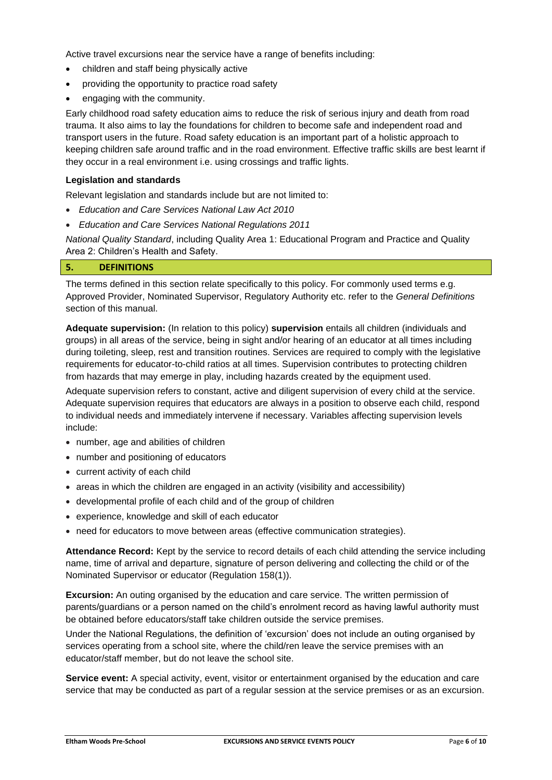Active travel excursions near the service have a range of benefits including:

- children and staff being physically active
- providing the opportunity to practice road safety
- engaging with the community.

Early childhood road safety education aims to reduce the risk of serious injury and death from road trauma. It also aims to lay the foundations for children to become safe and independent road and transport users in the future. Road safety education is an important part of a holistic approach to keeping children safe around traffic and in the road environment. Effective traffic skills are best learnt if they occur in a real environment i.e. using crossings and traffic lights.

#### **Legislation and standards**

Relevant legislation and standards include but are not limited to:

- *Education and Care Services National Law Act 2010*
- *Education and Care Services National Regulations 2011*

*National Quality Standard*, including Quality Area 1: Educational Program and Practice and Quality Area 2: Children's Health and Safety.

#### **5. DEFINITIONS**

The terms defined in this section relate specifically to this policy. For commonly used terms e.g. Approved Provider, Nominated Supervisor, Regulatory Authority etc. refer to the *General Definitions* section of this manual.

**Adequate supervision:** (In relation to this policy) **supervision** entails all children (individuals and groups) in all areas of the service, being in sight and/or hearing of an educator at all times including during toileting, sleep, rest and transition routines. Services are required to comply with the legislative requirements for educator-to-child ratios at all times. Supervision contributes to protecting children from hazards that may emerge in play, including hazards created by the equipment used.

Adequate supervision refers to constant, active and diligent supervision of every child at the service. Adequate supervision requires that educators are always in a position to observe each child, respond to individual needs and immediately intervene if necessary. Variables affecting supervision levels include:

- number, age and abilities of children
- number and positioning of educators
- current activity of each child
- areas in which the children are engaged in an activity (visibility and accessibility)
- developmental profile of each child and of the group of children
- experience, knowledge and skill of each educator
- need for educators to move between areas (effective communication strategies).

**Attendance Record:** Kept by the service to record details of each child attending the service including name, time of arrival and departure, signature of person delivering and collecting the child or of the Nominated Supervisor or educator (Regulation 158(1)).

**Excursion:** An outing organised by the education and care service. The written permission of parents/guardians or a person named on the child's enrolment record as having lawful authority must be obtained before educators/staff take children outside the service premises.

Under the National Regulations, the definition of 'excursion' does not include an outing organised by services operating from a school site, where the child/ren leave the service premises with an educator/staff member, but do not leave the school site.

**Service event:** A special activity, event, visitor or entertainment organised by the education and care service that may be conducted as part of a regular session at the service premises or as an excursion.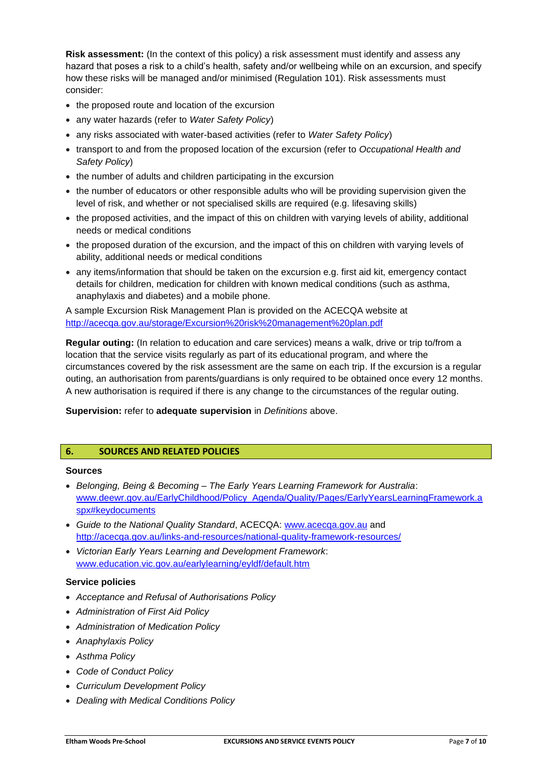**Risk assessment:** (In the context of this policy) a risk assessment must identify and assess any hazard that poses a risk to a child's health, safety and/or wellbeing while on an excursion, and specify how these risks will be managed and/or minimised (Regulation 101). Risk assessments must consider:

- the proposed route and location of the excursion
- any water hazards (refer to *Water Safety Policy*)
- any risks associated with water-based activities (refer to *Water Safety Policy*)
- transport to and from the proposed location of the excursion (refer to *Occupational Health and Safety Policy*)
- the number of adults and children participating in the excursion
- the number of educators or other responsible adults who will be providing supervision given the level of risk, and whether or not specialised skills are required (e.g. lifesaving skills)
- the proposed activities, and the impact of this on children with varying levels of ability, additional needs or medical conditions
- the proposed duration of the excursion, and the impact of this on children with varying levels of ability, additional needs or medical conditions
- any items/information that should be taken on the excursion e.g. first aid kit, emergency contact details for children, medication for children with known medical conditions (such as asthma, anaphylaxis and diabetes) and a mobile phone.

A sample Excursion Risk Management Plan is provided on the ACECQA website at <http://acecqa.gov.au/storage/Excursion%20risk%20management%20plan.pdf>

**Regular outing:** (In relation to education and care services) means a walk, drive or trip to/from a location that the service visits regularly as part of its educational program, and where the circumstances covered by the risk assessment are the same on each trip. If the excursion is a regular outing, an authorisation from parents/guardians is only required to be obtained once every 12 months. A new authorisation is required if there is any change to the circumstances of the regular outing.

**Supervision:** refer to **adequate supervision** in *Definitions* above.

## **6. SOURCES AND RELATED POLICIES**

### **Sources**

- *Belonging, Being & Becoming – The Early Years Learning Framework for Australia*: [www.deewr.gov.au/EarlyChildhood/Policy\\_Agenda/Quality/Pages/EarlyYearsLearningFramework.a](http://www.deewr.gov.au/EarlyChildhood/Policy_Agenda/Quality/Pages/EarlyYearsLearningFramework.aspx#keydocuments) [spx#keydocuments](http://www.deewr.gov.au/EarlyChildhood/Policy_Agenda/Quality/Pages/EarlyYearsLearningFramework.aspx#keydocuments)
- *Guide to the National Quality Standard*, ACECQA: [www.acecqa.gov.au](http://www.acecqa.gov.au/) and <http://acecqa.gov.au/links-and-resources/national-quality-framework-resources/>
- *Victorian Early Years Learning and Development Framework*: [www.education.vic.gov.au/earlylearning/eyldf/default.htm](http://www.education.vic.gov.au/earlylearning/eyldf/default.htm)

## **Service policies**

- *Acceptance and Refusal of Authorisations Policy*
- *Administration of First Aid Policy*
- *Administration of Medication Policy*
- *Anaphylaxis Policy*
- *Asthma Policy*
- *Code of Conduct Policy*
- *Curriculum Development Policy*
- *Dealing with Medical Conditions Policy*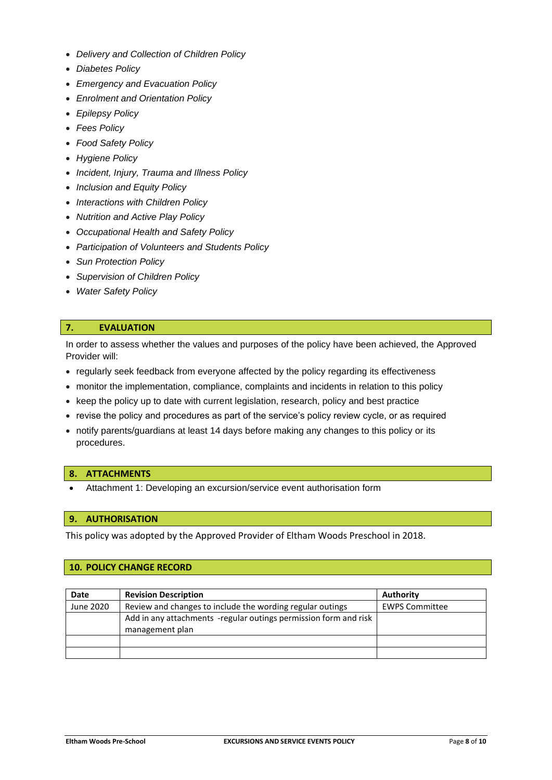- *Delivery and Collection of Children Policy*
- *Diabetes Policy*
- *Emergency and Evacuation Policy*
- *Enrolment and Orientation Policy*
- *Epilepsy Policy*
- *Fees Policy*
- *Food Safety Policy*
- *Hygiene Policy*
- *Incident, Injury, Trauma and Illness Policy*
- *Inclusion and Equity Policy*
- *Interactions with Children Policy*
- *Nutrition and Active Play Policy*
- *Occupational Health and Safety Policy*
- *Participation of Volunteers and Students Policy*
- *Sun Protection Policy*
- *Supervision of Children Policy*
- *Water Safety Policy*

## **7. EVALUATION**

In order to assess whether the values and purposes of the policy have been achieved, the Approved Provider will:

- regularly seek feedback from everyone affected by the policy regarding its effectiveness
- monitor the implementation, compliance, complaints and incidents in relation to this policy
- keep the policy up to date with current legislation, research, policy and best practice
- revise the policy and procedures as part of the service's policy review cycle, or as required
- notify parents/guardians at least 14 days before making any changes to this policy or its procedures.

#### **8. ATTACHMENTS**

• Attachment 1: Developing an excursion/service event authorisation form

#### **9. AUTHORISATION**

This policy was adopted by the Approved Provider of Eltham Woods Preschool in 2018.

## **10. POLICY CHANGE RECORD**

| Date      | <b>Revision Description</b>                                                         | <b>Authority</b>      |
|-----------|-------------------------------------------------------------------------------------|-----------------------|
| June 2020 | Review and changes to include the wording regular outings                           | <b>EWPS Committee</b> |
|           | Add in any attachments -regular outings permission form and risk<br>management plan |                       |
|           |                                                                                     |                       |
|           |                                                                                     |                       |